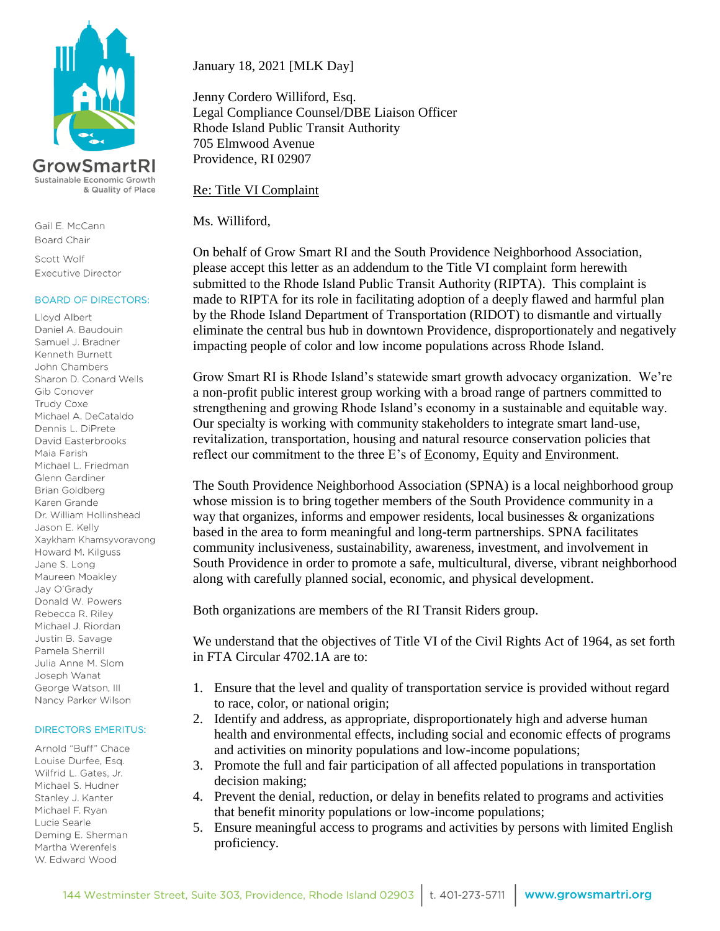



Gail E. McCann **Board Chair** 

Scott Wolf Executive Director

#### **BOARD OF DIRECTORS:**

Lloyd Albert Daniel A. Baudouin Samuel J. Bradner Kenneth Burnett John Chambers Sharon D. Conard Wells Gib Conover Trudy Coxe Michael A. DeCataldo Dennis L. DiPrete David Easterbrooks Maia Farish Michael L. Friedman Glenn Gardiner **Brian Goldberg** Karen Grande Dr. William Hollinshead Jason E. Kelly Xaykham Khamsyvoravong Howard M. Kilguss Jane S. Long Maureen Moakley Jay O'Grady Donald W. Powers Rebecca R. Riley Michael J. Riordan Justin B. Savage Pamela Sherrill Julia Anne M. Slom Joseph Wanat George Watson, III Nancy Parker Wilson

#### **DIRECTORS EMERITUS:**

Arnold "Buff" Chace Louise Durfee, Esg. Wilfrid L. Gates, Jr. Michael S. Hudner Stanley J. Kanter Michael F. Ryan Lucie Searle Deming E. Sherman Martha Werenfels W. Edward Wood

January 18, 2021 [MLK Day]

Jenny Cordero Williford, Esq. Legal Compliance Counsel/DBE Liaison Officer Rhode Island Public Transit Authority 705 Elmwood Avenue Providence, RI 02907

Re: Title VI Complaint

Ms. Williford,

On behalf of Grow Smart RI and the South Providence Neighborhood Association, please accept this letter as an addendum to the Title VI complaint form herewith submitted to the Rhode Island Public Transit Authority (RIPTA). This complaint is made to RIPTA for its role in facilitating adoption of a deeply flawed and harmful plan by the Rhode Island Department of Transportation (RIDOT) to dismantle and virtually eliminate the central bus hub in downtown Providence, disproportionately and negatively impacting people of color and low income populations across Rhode Island.

Grow Smart RI is Rhode Island's statewide smart growth advocacy organization. We're a non-profit public interest group working with a broad range of partners committed to strengthening and growing Rhode Island's economy in a sustainable and equitable way. Our specialty is working with community stakeholders to integrate smart land-use, revitalization, transportation, housing and natural resource conservation policies that reflect our commitment to the three E's of Economy, Equity and Environment.

The South Providence Neighborhood Association (SPNA) is a local neighborhood group whose mission is to bring together members of the South Providence community in a way that organizes, informs and empower residents, local businesses & organizations based in the area to form meaningful and long-term partnerships. SPNA facilitates community inclusiveness, sustainability, awareness, investment, and involvement in South Providence in order to promote a safe, multicultural, diverse, vibrant neighborhood along with carefully planned social, economic, and physical development.

Both organizations are members of the RI Transit Riders group.

We understand that the objectives of Title VI of the Civil Rights Act of 1964, as set forth in FTA Circular 4702.1A are to:

- 1. Ensure that the level and quality of transportation service is provided without regard to race, color, or national origin;
- 2. Identify and address, as appropriate, disproportionately high and adverse human health and environmental effects, including social and economic effects of programs and activities on minority populations and low-income populations;
- 3. Promote the full and fair participation of all affected populations in transportation decision making;
- 4. Prevent the denial, reduction, or delay in benefits related to programs and activities that benefit minority populations or low-income populations;
- 5. Ensure meaningful access to programs and activities by persons with limited English proficiency.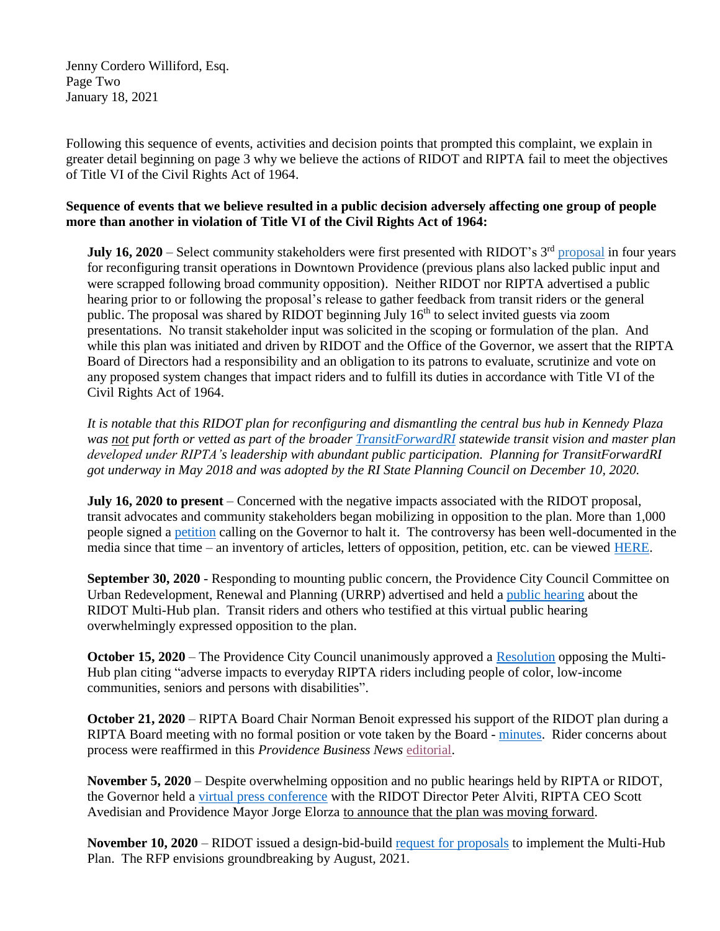Jenny Cordero Williford, Esq. Page Two January 18, 2021

Following this sequence of events, activities and decision points that prompted this complaint, we explain in greater detail beginning on page 3 why we believe the actions of RIDOT and RIPTA fail to meet the objectives of Title VI of the Civil Rights Act of 1964.

# **Sequence of events that we believe resulted in a public decision adversely affecting one group of people more than another in violation of Title VI of the Civil Rights Act of 1964:**

**July 16, 2020** – Select community stakeholders were first presented with RIDOT's 3<sup>rd</sup> [proposal](http://www.growsmartri.org/wp-content/uploads/2019/09/RIDOT-s-plans-for-Kennedy-Plaza-rotated.pdf) in four years for reconfiguring transit operations in Downtown Providence (previous plans also lacked public input and were scrapped following broad community opposition). Neither RIDOT nor RIPTA advertised a public hearing prior to or following the proposal's release to gather feedback from transit riders or the general public. The proposal was shared by RIDOT beginning July  $16<sup>th</sup>$  to select invited guests via zoom presentations. No transit stakeholder input was solicited in the scoping or formulation of the plan. And while this plan was initiated and driven by RIDOT and the Office of the Governor, we assert that the RIPTA Board of Directors had a responsibility and an obligation to its patrons to evaluate, scrutinize and vote on any proposed system changes that impact riders and to fulfill its duties in accordance with Title VI of the Civil Rights Act of 1964.

*It is notable that this RIDOT plan for reconfiguring and dismantling the central bus hub in Kennedy Plaza was not put forth or vetted as part of the broader [TransitForwardRI](https://transitforwardri.com/) statewide transit vision and master plan developed under RIPTA's leadership with abundant public participation. Planning for TransitForwardRI got underway in May 2018 and was adopted by the RI State Planning Council on December 10, 2020.*

**July 16, 2020 to present** – Concerned with the negative impacts associated with the RIDOT proposal, transit advocates and community stakeholders began mobilizing in opposition to the plan. More than 1,000 people signed a [petition](https://actionnetwork.org/petitions/governor-raimondo-why-are-bus-riders-getting-kicked-out-of-kennedy-plaza?source=twitter&fbclid=IwAR2lGY5adbF2udkV_WteMzsJ8ck4mREgDpwdQjKtRhdbijnJsR9myY-ehnk) calling on the Governor to halt it. The controversy has been well-documented in the media since that time – an inventory of articles, letters of opposition, petition, etc. can be viewed [HERE.](http://www.growsmartri.org/wp-content/uploads/2021/01/Media-and-Letters-of-Opposition-1.pdf)

**September 30, 2020** - Responding to mounting public concern, the Providence City Council Committee on Urban Redevelopment, Renewal and Planning (URRP) advertised and held a [public hearing](https://providenceri.iqm2.com/Citizens/FileOpen.aspx?Type=14&ID=8010&Inline=True) about the RIDOT Multi-Hub plan. Transit riders and others who testified at this virtual public hearing overwhelmingly expressed opposition to the plan.

**October 15, 2020** – The Providence City Council unanimously approved a [Resolution](http://www.growsmartri.org/wp-content/uploads/2020/10/City-Council-Resolution-Opposing-the-RIDOT-Multi-Hub-Plan.pdf) opposing the Multi-Hub plan citing "adverse impacts to everyday RIPTA riders including people of color, low-income communities, seniors and persons with disabilities".

**October 21, 2020** – RIPTA Board Chair Norman Benoit expressed his support of the RIDOT plan during a RIPTA Board meeting with no formal position or vote taken by the Board - [minutes.](https://www.ripta.com/wp-content/uploads/2020/12/BOD-Minutes-10.21.20-approved.pdf) Rider concerns about process were reaffirmed in this *Providence Business News* [editorial.](http://www.growsmartri.org/wp-content/uploads/2020/10/PBN-Editorial-10.23.20.pdf)

**November 5, 2020** – Despite overwhelming opposition and no public hearings held by RIPTA or RIDOT, the Governor held a [virtual press conference](https://www.facebook.com/GinaMRaimondo/videos/693068818005167) with the RIDOT Director Peter Alviti, RIPTA CEO Scott Avedisian and Providence Mayor Jorge Elorza to announce that the plan was moving forward.

**November 10, 2020** – RIDOT issued a design-bid-build [request for proposals](http://www.growsmartri.org/wp-content/uploads/2020/12/RIDOT-FINAL-Multi-Hub-RFP-11.10.2020.pdf) to implement the Multi-Hub Plan. The RFP envisions groundbreaking by August, 2021.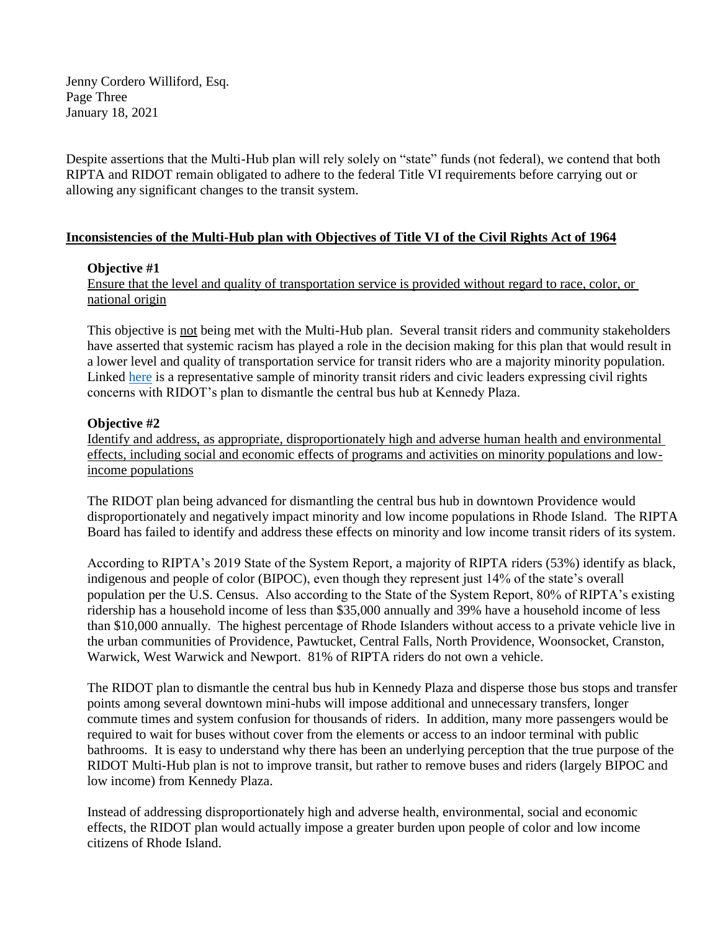Jenny Cordero Williford, Esq. Page Three January 18, 2021

Despite assertions that the Multi-Hub plan will rely solely on "state" funds (not federal), we contend that both RIPTA and RIDOT remain obligated to adhere to the federal Title VI requirements before carrying out or allowing any significant changes to the transit system.

# **Inconsistencies of the Multi-Hub plan with Objectives of Title VI of the Civil Rights Act of 1964**

## **Objective #1**

Ensure that the level and quality of transportation service is provided without regard to race, color, or national origin

This objective is not being met with the Multi-Hub plan. Several transit riders and community stakeholders have asserted that systemic racism has played a role in the decision making for this plan that would result in a lower level and quality of transportation service for transit riders who are a majority minority population. Linked [here](https://upriseri.com/2020-08-29-kennedy-plaza/) is a representative sample of minority transit riders and civic leaders expressing civil rights concerns with RIDOT's plan to dismantle the central bus hub at Kennedy Plaza.

## **Objective #2**

Identify and address, as appropriate, disproportionately high and adverse human health and environmental effects, including social and economic effects of programs and activities on minority populations and lowincome populations

The RIDOT plan being advanced for dismantling the central bus hub in downtown Providence would disproportionately and negatively impact minority and low income populations in Rhode Island. The RIPTA Board has failed to identify and address these effects on minority and low income transit riders of its system.

According to RIPTA's 2019 State of the System Report, a majority of RIPTA riders (53%) identify as black, indigenous and people of color (BIPOC), even though they represent just 14% of the state's overall population per the U.S. Census. Also according to the State of the System Report, 80% of RIPTA's existing ridership has a household income of less than \$35,000 annually and 39% have a household income of less than \$10,000 annually. The highest percentage of Rhode Islanders without access to a private vehicle live in the urban communities of Providence, Pawtucket, Central Falls, North Providence, Woonsocket, Cranston, Warwick, West Warwick and Newport. 81% of RIPTA riders do not own a vehicle.

The RIDOT plan to dismantle the central bus hub in Kennedy Plaza and disperse those bus stops and transfer points among several downtown mini-hubs will impose additional and unnecessary transfers, longer commute times and system confusion for thousands of riders. In addition, many more passengers would be required to wait for buses without cover from the elements or access to an indoor terminal with public bathrooms. It is easy to understand why there has been an underlying perception that the true purpose of the RIDOT Multi-Hub plan is not to improve transit, but rather to remove buses and riders (largely BIPOC and low income) from Kennedy Plaza.

Instead of addressing disproportionately high and adverse health, environmental, social and economic effects, the RIDOT plan would actually impose a greater burden upon people of color and low income citizens of Rhode Island.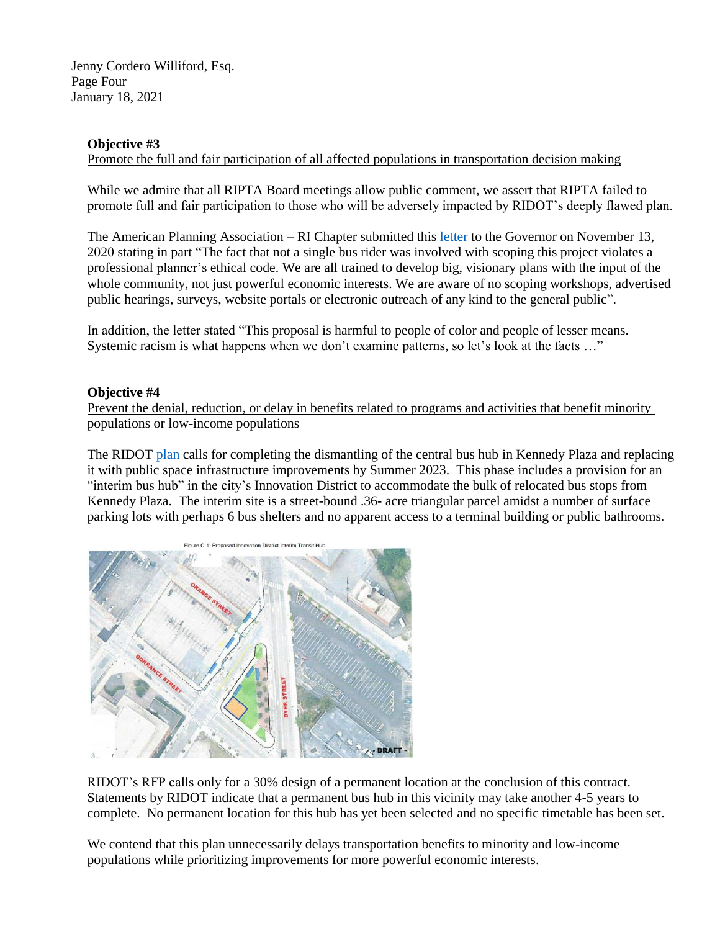Jenny Cordero Williford, Esq. Page Four January 18, 2021

## **Objective #3**

Promote the full and fair participation of all affected populations in transportation decision making

While we admire that all RIPTA Board meetings allow public comment, we assert that RIPTA failed to promote full and fair participation to those who will be adversely impacted by RIDOT's deeply flawed plan.

The American Planning Association – RI Chapter submitted this [letter](http://www.growsmartri.org/wp-content/uploads/2020/11/Kennedy-Plaza-Letter-Governor-Raimondo.pdf) to the Governor on November 13, 2020 stating in part "The fact that not a single bus rider was involved with scoping this project violates a professional planner's ethical code. We are all trained to develop big, visionary plans with the input of the whole community, not just powerful economic interests. We are aware of no scoping workshops, advertised public hearings, surveys, website portals or electronic outreach of any kind to the general public".

In addition, the letter stated "This proposal is harmful to people of color and people of lesser means. Systemic racism is what happens when we don't examine patterns, so let's look at the facts ..."

## **Objective #4**

Prevent the denial, reduction, or delay in benefits related to programs and activities that benefit minority populations or low-income populations

The RIDOT [plan](http://www.growsmartri.org/wp-content/uploads/2020/10/Multi-Hub-Update-presented-9.30.20.pdf) calls for completing the dismantling of the central bus hub in Kennedy Plaza and replacing it with public space infrastructure improvements by Summer 2023. This phase includes a provision for an "interim bus hub" in the city's Innovation District to accommodate the bulk of relocated bus stops from Kennedy Plaza. The interim site is a street-bound .36- acre triangular parcel amidst a number of surface parking lots with perhaps 6 bus shelters and no apparent access to a terminal building or public bathrooms.



RIDOT's RFP calls only for a 30% design of a permanent location at the conclusion of this contract. Statements by RIDOT indicate that a permanent bus hub in this vicinity may take another 4-5 years to complete. No permanent location for this hub has yet been selected and no specific timetable has been set.

We contend that this plan unnecessarily delays transportation benefits to minority and low-income populations while prioritizing improvements for more powerful economic interests.